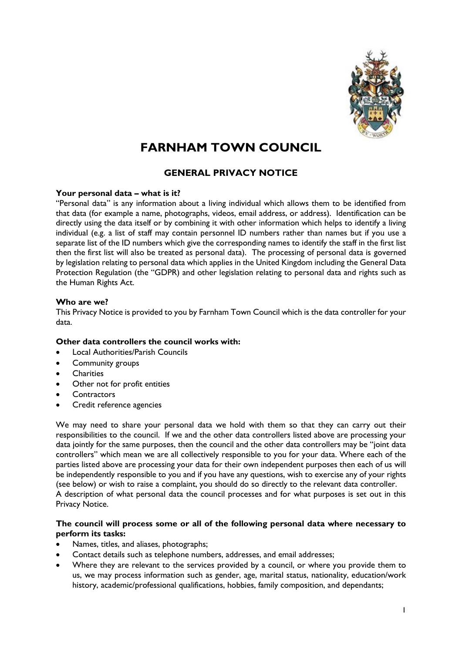

# **FARNHAM TOWN COUNCIL**

## **GENERAL PRIVACY NOTICE**

#### **Your personal data – what is it?**

"Personal data" is any information about a living individual which allows them to be identified from that data (for example a name, photographs, videos, email address, or address). Identification can be directly using the data itself or by combining it with other information which helps to identify a living individual (e.g. a list of staff may contain personnel ID numbers rather than names but if you use a separate list of the ID numbers which give the corresponding names to identify the staff in the first list then the first list will also be treated as personal data). The processing of personal data is governed by legislation relating to personal data which applies in the United Kingdom including the General Data Protection Regulation (the "GDPR) and other legislation relating to personal data and rights such as the Human Rights Act.

#### **Who are we?**

This Privacy Notice is provided to you by Farnham Town Council which is the data controller for your data.

## **Other data controllers the council works with:**

- Local Authorities/Parish Councils
- Community groups
- **Charities**
- Other not for profit entities
- **Contractors**
- Credit reference agencies

We may need to share your personal data we hold with them so that they can carry out their responsibilities to the council. If we and the other data controllers listed above are processing your data jointly for the same purposes, then the council and the other data controllers may be "joint data controllers" which mean we are all collectively responsible to you for your data. Where each of the parties listed above are processing your data for their own independent purposes then each of us will be independently responsible to you and if you have any questions, wish to exercise any of your rights (see below) or wish to raise a complaint, you should do so directly to the relevant data controller. A description of what personal data the council processes and for what purposes is set out in this Privacy Notice.

## **The council will process some or all of the following personal data where necessary to perform its tasks:**

- Names, titles, and aliases, photographs;
- Contact details such as telephone numbers, addresses, and email addresses;
- Where they are relevant to the services provided by a council, or where you provide them to us, we may process information such as gender, age, marital status, nationality, education/work history, academic/professional qualifications, hobbies, family composition, and dependants;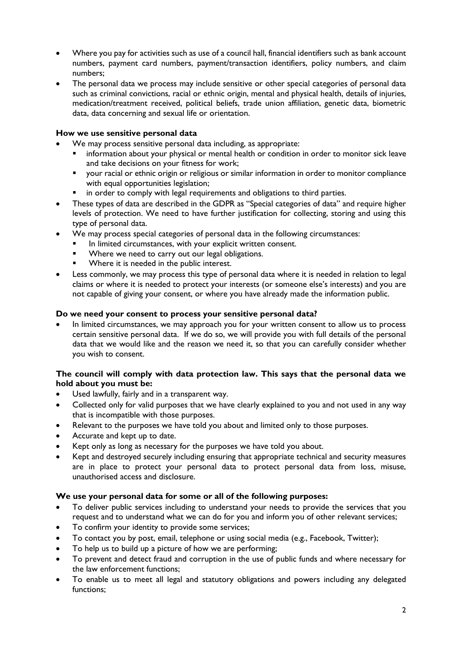- Where you pay for activities such as use of a council hall, financial identifiers such as bank account numbers, payment card numbers, payment/transaction identifiers, policy numbers, and claim numbers;
- The personal data we process may include sensitive or other special categories of personal data such as criminal convictions, racial or ethnic origin, mental and physical health, details of injuries, medication/treatment received, political beliefs, trade union affiliation, genetic data, biometric data, data concerning and sexual life or orientation.

## **How we use sensitive personal data**

- We may process sensitive personal data including, as appropriate:
	- information about your physical or mental health or condition in order to monitor sick leave and take decisions on your fitness for work;
	- **•** your racial or ethnic origin or religious or similar information in order to monitor compliance with equal opportunities legislation;
	- in order to comply with legal requirements and obligations to third parties.
- These types of data are described in the GDPR as "Special categories of data" and require higher levels of protection. We need to have further justification for collecting, storing and using this type of personal data.
- We may process special categories of personal data in the following circumstances:
	- In limited circumstances, with your explicit written consent.
	- Where we need to carry out our legal obligations.
	- Where it is needed in the public interest.
- Less commonly, we may process this type of personal data where it is needed in relation to legal claims or where it is needed to protect your interests (or someone else's interests) and you are not capable of giving your consent, or where you have already made the information public.

## **Do we need your consent to process your sensitive personal data?**

 In limited circumstances, we may approach you for your written consent to allow us to process certain sensitive personal data. If we do so, we will provide you with full details of the personal data that we would like and the reason we need it, so that you can carefully consider whether you wish to consent.

## **The council will comply with data protection law. This says that the personal data we hold about you must be:**

- Used lawfully, fairly and in a transparent way.
- Collected only for valid purposes that we have clearly explained to you and not used in any way that is incompatible with those purposes.
- Relevant to the purposes we have told you about and limited only to those purposes.
- Accurate and kept up to date.
- Kept only as long as necessary for the purposes we have told you about.
- Kept and destroyed securely including ensuring that appropriate technical and security measures are in place to protect your personal data to protect personal data from loss, misuse, unauthorised access and disclosure.

## **We use your personal data for some or all of the following purposes:**

- To deliver public services including to understand your needs to provide the services that you request and to understand what we can do for you and inform you of other relevant services;
- To confirm your identity to provide some services;
- To contact you by post, email, telephone or using social media (e.g., Facebook, Twitter);
- To help us to build up a picture of how we are performing;
- To prevent and detect fraud and corruption in the use of public funds and where necessary for the law enforcement functions;
- To enable us to meet all legal and statutory obligations and powers including any delegated functions;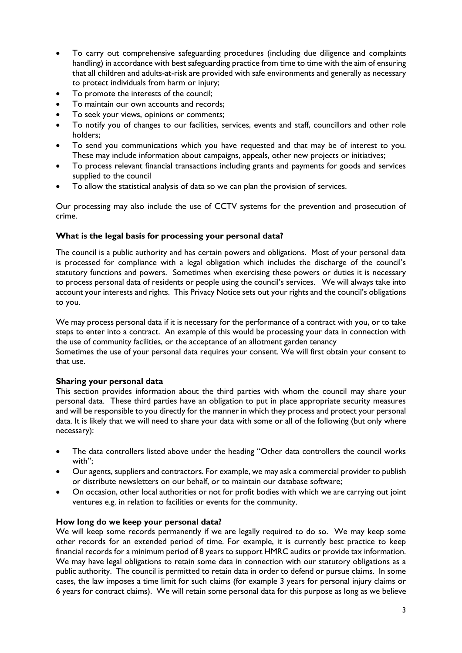- To carry out comprehensive safeguarding procedures (including due diligence and complaints handling) in accordance with best safeguarding practice from time to time with the aim of ensuring that all children and adults-at-risk are provided with safe environments and generally as necessary to protect individuals from harm or injury;
- To promote the interests of the council;
- To maintain our own accounts and records;
- To seek your views, opinions or comments;
- To notify you of changes to our facilities, services, events and staff, councillors and other role holders;
- To send you communications which you have requested and that may be of interest to you. These may include information about campaigns, appeals, other new projects or initiatives;
- To process relevant financial transactions including grants and payments for goods and services supplied to the council
- To allow the statistical analysis of data so we can plan the provision of services.

Our processing may also include the use of CCTV systems for the prevention and prosecution of crime.

## **What is the legal basis for processing your personal data?**

The council is a public authority and has certain powers and obligations. Most of your personal data is processed for compliance with a legal obligation which includes the discharge of the council's statutory functions and powers. Sometimes when exercising these powers or duties it is necessary to process personal data of residents or people using the council's services. We will always take into account your interests and rights. This Privacy Notice sets out your rights and the council's obligations to you.

We may process personal data if it is necessary for the performance of a contract with you, or to take steps to enter into a contract. An example of this would be processing your data in connection with the use of community facilities, or the acceptance of an allotment garden tenancy

Sometimes the use of your personal data requires your consent. We will first obtain your consent to that use.

## **Sharing your personal data**

This section provides information about the third parties with whom the council may share your personal data. These third parties have an obligation to put in place appropriate security measures and will be responsible to you directly for the manner in which they process and protect your personal data. It is likely that we will need to share your data with some or all of the following (but only where necessary):

- The data controllers listed above under the heading "Other data controllers the council works with";
- Our agents, suppliers and contractors. For example, we may ask a commercial provider to publish or distribute newsletters on our behalf, or to maintain our database software;
- On occasion, other local authorities or not for profit bodies with which we are carrying out joint ventures e.g. in relation to facilities or events for the community.

#### **How long do we keep your personal data?**

We will keep some records permanently if we are legally required to do so. We may keep some other records for an extended period of time. For example, it is currently best practice to keep financial records for a minimum period of 8 years to support HMRC audits or provide tax information. We may have legal obligations to retain some data in connection with our statutory obligations as a public authority. The council is permitted to retain data in order to defend or pursue claims. In some cases, the law imposes a time limit for such claims (for example 3 years for personal injury claims or 6 years for contract claims). We will retain some personal data for this purpose as long as we believe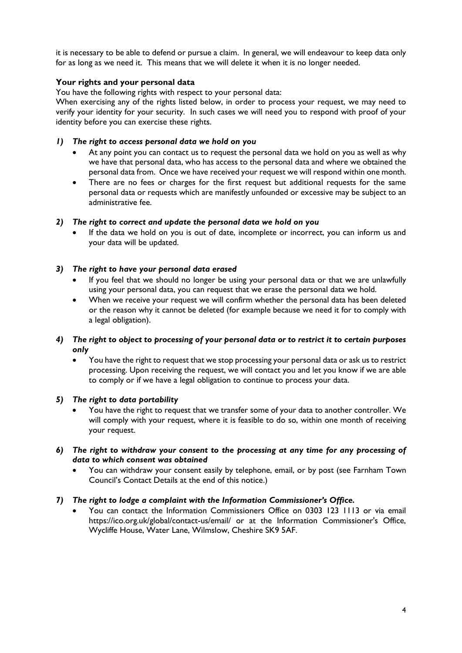it is necessary to be able to defend or pursue a claim. In general, we will endeavour to keep data only for as long as we need it. This means that we will delete it when it is no longer needed.

## **Your rights and your personal data**

You have the following rights with respect to your personal data:

When exercising any of the rights listed below, in order to process your request, we may need to verify your identity for your security. In such cases we will need you to respond with proof of your identity before you can exercise these rights.

- *1) The right to access personal data we hold on you*
	- At any point you can contact us to request the personal data we hold on you as well as why we have that personal data, who has access to the personal data and where we obtained the personal data from. Once we have received your request we will respond within one month.
	- There are no fees or charges for the first request but additional requests for the same personal data or requests which are manifestly unfounded or excessive may be subject to an administrative fee.

## *2) The right to correct and update the personal data we hold on you*

 If the data we hold on you is out of date, incomplete or incorrect, you can inform us and your data will be updated.

## *3) The right to have your personal data erased*

- If you feel that we should no longer be using your personal data or that we are unlawfully using your personal data, you can request that we erase the personal data we hold.
- When we receive your request we will confirm whether the personal data has been deleted or the reason why it cannot be deleted (for example because we need it for to comply with a legal obligation).
- *4) The right to object to processing of your personal data or to restrict it to certain purposes only*
	- You have the right to request that we stop processing your personal data or ask us to restrict processing. Upon receiving the request, we will contact you and let you know if we are able to comply or if we have a legal obligation to continue to process your data.

## *5) The right to data portability*

- You have the right to request that we transfer some of your data to another controller. We will comply with your request, where it is feasible to do so, within one month of receiving your request.
- *6) The right to withdraw your consent to the processing at any time for any processing of data to which consent was obtained*
	- You can withdraw your consent easily by telephone, email, or by post (see Farnham Town Council's Contact Details at the end of this notice.)

## *7) The right to lodge a complaint with the Information Commissioner's Office.*

 You can contact the Information Commissioners Office on 0303 123 1113 or via email https://ico.org.uk/global/contact-us/email/ or at the Information Commissioner's Office, Wycliffe House, Water Lane, Wilmslow, Cheshire SK9 5AF.